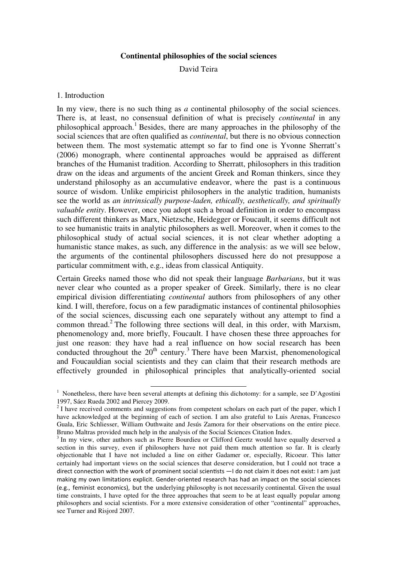#### **Continental philosophies of the social sciences**

David Teira

### 1. Introduction

In my view, there is no such thing as *a* continental philosophy of the social sciences. There is, at least, no consensual definition of what is precisely *continental* in any philosophical approach.<sup>1</sup> Besides, there are many approaches in the philosophy of the social sciences that are often qualified as *continental*, but there is no obvious connection between them. The most systematic attempt so far to find one is Yvonne Sherratt's (2006) monograph, where continental approaches would be appraised as different branches of the Humanist tradition. According to Sherratt, philosophers in this tradition draw on the ideas and arguments of the ancient Greek and Roman thinkers, since they understand philosophy as an accumulative endeavor, where the past is a continuous source of wisdom. Unlike empiricist philosophers in the analytic tradition, humanists see the world as *an intrinsically purpose-laden, ethically, aesthetically, and spiritually valuable entity*. However, once you adopt such a broad definition in order to encompass such different thinkers as Marx, Nietzsche, Heidegger or Foucault, it seems difficult not to see humanistic traits in analytic philosophers as well. Moreover, when it comes to the philosophical study of actual social sciences, it is not clear whether adopting a humanistic stance makes, as such, any difference in the analysis: as we will see below, the arguments of the continental philosophers discussed here do not presuppose a particular commitment with, e.g., ideas from classical Antiquity.

Certain Greeks named those who did not speak their language *Barbarians*, but it was never clear who counted as a proper speaker of Greek. Similarly, there is no clear empirical division differentiating *continental* authors from philosophers of any other kind. I will, therefore, focus on a few paradigmatic instances of continental philosophies of the social sciences, discussing each one separately without any attempt to find a common thread.<sup>2</sup> The following three sections will deal, in this order, with Marxism, phenomenology and, more briefly, Foucault. I have chosen these three approaches for just one reason: they have had a real influence on how social research has been conducted throughout the  $20<sup>th</sup>$  century.<sup>3</sup> There have been Marxist, phenomenological and Foucauldian social scientists and they can claim that their research methods are effectively grounded in philosophical principles that analytically-oriented social

<sup>&</sup>lt;sup>1</sup> Nonetheless, there have been several attempts at defining this dichotomy: for a sample, see D'Agostini<sup>1</sup> 1997, Sáez Rueda 2002 and Piercey 2009.

 $2<sup>2</sup>$  I have received comments and suggestions from competent scholars on each part of the paper, which I have acknowledged at the beginning of each of section. I am also grateful to Luis Arenas, Francesco Guala, Eric Schliesser, William Outhwaite and Jesús Zamora for their observations on the entire piece. Bruno Maltras provided much help in the analysis of the Social Sciences Citation Index.

<sup>&</sup>lt;sup>3</sup> In my view, other authors such as Pierre Bourdieu or Clifford Geertz would have equally deserved a section in this survey, even if philosophers have not paid them much attention so far. It is clearly objectionable that I have not included a line on either Gadamer or, especially, Ricoeur. This latter certainly had important views on the social sciences that deserve consideration, but I could not trace a direct connection with the work of prominent social scientists —I do not claim it does not exist: I am just making my own limitations explicit. Gender-oriented research has had an impact on the social sciences (e.g., feminist economics), but the underlying philosophy is not necessarily continental. Given the usual time constraints, I have opted for the three approaches that seem to be at least equally popular among philosophers and social scientists. For a more extensive consideration of other "continental" approaches, see Turner and Risjord 2007.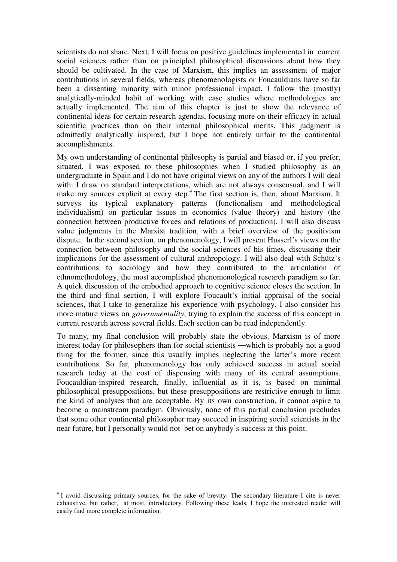scientists do not share. Next, I will focus on positive guidelines implemented in current social sciences rather than on principled philosophical discussions about how they should be cultivated. In the case of Marxism, this implies an assessment of major contributions in several fields, whereas phenomenologists or Foucauldians have so far been a dissenting minority with minor professional impact. I follow the (mostly) analytically-minded habit of working with case studies where methodologies are actually implemented. The aim of this chapter is just to show the relevance of continental ideas for certain research agendas, focusing more on their efficacy in actual scientific practices than on their internal philosophical merits. This judgment is admittedly analytically inspired, but I hope not entirely unfair to the continental accomplishments.

My own understanding of continental philosophy is partial and biased or, if you prefer, situated. I was exposed to these philosophies when I studied philosophy as an undergraduate in Spain and I do not have original views on any of the authors I will deal with: I draw on standard interpretations, which are not always consensual, and I will make my sources explicit at every step.<sup>4</sup> The first section is, then, about Marxism. It surveys its typical explanatory patterns (functionalism and methodological individualism) on particular issues in economics (value theory) and history (the connection between productive forces and relations of production). I will also discuss value judgments in the Marxist tradition, with a brief overview of the positivism dispute. In the second section, on phenomenology, I will present Husserl's views on the connection between philosophy and the social sciences of his times, discussing their implications for the assessment of cultural anthropology. I will also deal with Schütz's contributions to sociology and how they contributed to the articulation of ethnomethodology, the most accomplished phenomenological research paradigm so far. A quick discussion of the embodied approach to cognitive science closes the section. In the third and final section, I will explore Foucault's initial appraisal of the social sciences, that I take to generalize his experience with psychology. I also consider his more mature views on *governmentality*, trying to explain the success of this concept in current research across several fields. Each section can be read independently.

To many, my final conclusion will probably state the obvious. Marxism is of more interest today for philosophers than for social scientists ―which is probably not a good thing for the former, since this usually implies neglecting the latter's more recent contributions. So far, phenomenology has only achieved success in actual social research today at the cost of dispensing with many of its central assumptions. Foucauldian-inspired research, finally, influential as it is, is based on minimal philosophical presuppositions, but these presuppositions are restrictive enough to limit the kind of analyses that are acceptable. By its own construction, it cannot aspire to become a mainstream paradigm. Obviously, none of this partial conclusion precludes that some other continental philosopher may succeed in inspiring social scientists in the near future, but I personally would not bet on anybody's success at this point.

<sup>&</sup>lt;sup>4</sup> I avoid discussing primary sources, for the sake of brevity. The secondary literature I cite is never exhaustive, but rather, at most, introductory. Following these leads, I hope the interested reader will easily find more complete information.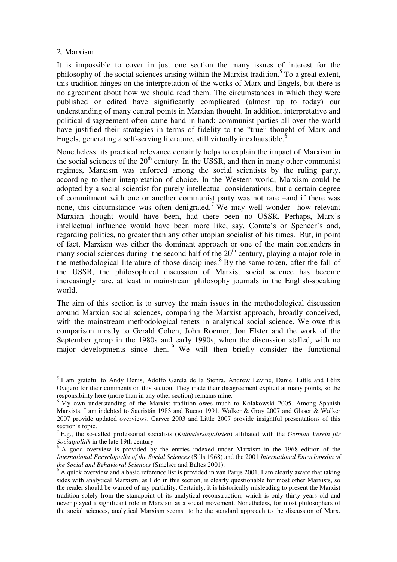### 2. Marxism

It is impossible to cover in just one section the many issues of interest for the philosophy of the social sciences arising within the Marxist tradition.<sup>5</sup> To a great extent, this tradition hinges on the interpretation of the works of Marx and Engels, but there is no agreement about how we should read them. The circumstances in which they were published or edited have significantly complicated (almost up to today) our understanding of many central points in Marxian thought. In addition, interpretative and political disagreement often came hand in hand: communist parties all over the world have justified their strategies in terms of fidelity to the "true" thought of Marx and Engels, generating a self-serving literature, still virtually inexhaustible.<sup> $\overline{6}$ </sup>

Nonetheless, its practical relevance certainly helps to explain the impact of Marxism in the social sciences of the  $20<sup>th</sup>$  century. In the USSR, and then in many other communist regimes, Marxism was enforced among the social scientists by the ruling party, according to their interpretation of choice. In the Western world, Marxism could be adopted by a social scientist for purely intellectual considerations, but a certain degree of commitment with one or another communist party was not rare –and if there was none, this circumstance was often denigrated.<sup>7</sup> We may well wonder how relevant Marxian thought would have been, had there been no USSR. Perhaps, Marx's intellectual influence would have been more like, say, Comte's or Spencer's and, regarding politics, no greater than any other utopian socialist of his times. But, in point of fact, Marxism was either the dominant approach or one of the main contenders in many social sciences during the second half of the  $20<sup>th</sup>$  century, playing a major role in the methodological literature of those disciplines.<sup>8</sup> By the same token, after the fall of the USSR, the philosophical discussion of Marxist social science has become increasingly rare, at least in mainstream philosophy journals in the English-speaking world.

The aim of this section is to survey the main issues in the methodological discussion around Marxian social sciences, comparing the Marxist approach, broadly conceived, with the mainstream methodological tenets in analytical social science. We owe this comparison mostly to Gerald Cohen, John Roemer, Jon Elster and the work of the September group in the 1980s and early 1990s, when the discussion stalled, with no major developments since then.<sup>9</sup> We will then briefly consider the functional

<sup>&</sup>lt;sup>5</sup> I am grateful to Andy Denis, Adolfo García de la Sienra, Andrew Levine, Daniel Little and Félix Ovejero for their comments on this section. They made their disagreement explicit at many points, so the responsibility here (more than in any other section) remains mine.

 $6 \text{ My own understanding of the Marxist tradition owes much to Kolakowski 2005. Among Spanish}$ Marxists, I am indebted to Sacristán 1983 and Bueno 1991. Walker & Gray 2007 and Glaser & Walker 2007 provide updated overviews. Carver 2003 and Little 2007 provide insightful presentations of this section's topic.

<sup>7</sup> E.g., the so-called professorial socialists (*Kathedersozialisten*) affiliated with the *German Verein für Socialpolitik* in the late 19th century

<sup>&</sup>lt;sup>8</sup> A good overview is provided by the entries indexed under Marxism in the 1968 edition of the *International Encyclopedia of the Social Sciences* (Sills 1968) and the 2001 *International Encyclopedia of the Social and Behavioral Sciences* (Smelser and Baltes 2001).

 $9<sup>9</sup>$  A quick overview and a basic reference list is provided in van Parijs 2001. I am clearly aware that taking sides with analytical Marxism, as I do in this section, is clearly questionable for most other Marxists, so the reader should be warned of my partiality. Certainly, it is historically misleading to present the Marxist tradition solely from the standpoint of its analytical reconstruction, which is only thirty years old and never played a significant role in Marxism as a social movement. Nonetheless, for most philosophers of the social sciences, analytical Marxism seems to be the standard approach to the discussion of Marx.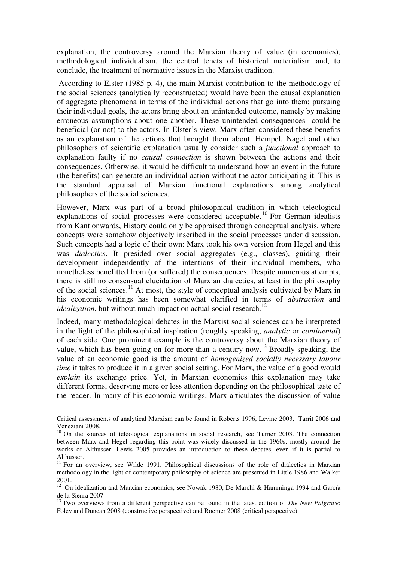explanation, the controversy around the Marxian theory of value (in economics), methodological individualism, the central tenets of historical materialism and, to conclude, the treatment of normative issues in the Marxist tradition.

 According to Elster (1985 p. 4), the main Marxist contribution to the methodology of the social sciences (analytically reconstructed) would have been the causal explanation of aggregate phenomena in terms of the individual actions that go into them: pursuing their individual goals, the actors bring about an unintended outcome, namely by making erroneous assumptions about one another. These unintended consequences could be beneficial (or not) to the actors. In Elster's view, Marx often considered these benefits as an explanation of the actions that brought them about. Hempel, Nagel and other philosophers of scientific explanation usually consider such a *functional* approach to explanation faulty if no *causal connection* is shown between the actions and their consequences. Otherwise, it would be difficult to understand how an event in the future (the benefits) can generate an individual action without the actor anticipating it. This is the standard appraisal of Marxian functional explanations among analytical philosophers of the social sciences.

However, Marx was part of a broad philosophical tradition in which teleological explanations of social processes were considered acceptable.<sup>10</sup> For German idealists from Kant onwards, History could only be appraised through conceptual analysis, where concepts were somehow objectively inscribed in the social processes under discussion. Such concepts had a logic of their own: Marx took his own version from Hegel and this was *dialectics*. It presided over social aggregates (e.g., classes), guiding their development independently of the intentions of their individual members, who nonetheless benefitted from (or suffered) the consequences. Despite numerous attempts, there is still no consensual elucidation of Marxian dialectics, at least in the philosophy of the social sciences.<sup>11</sup> At most, the style of conceptual analysis cultivated by Marx in his economic writings has been somewhat clarified in terms of *abstraction* and *idealization*, but without much impact on actual social research.<sup>12</sup>

Indeed, many methodological debates in the Marxist social sciences can be interpreted in the light of the philosophical inspiration (roughly speaking, *analytic* or *continental*) of each side. One prominent example is the controversy about the Marxian theory of value, which has been going on for more than a century now.<sup>13</sup> Broadly speaking, the value of an economic good is the amount of *homogenized socially necessary labour time* it takes to produce it in a given social setting. For Marx, the value of a good would *explain* its exchange price. Yet, in Marxian economics this explanation may take different forms, deserving more or less attention depending on the philosophical taste of the reader. In many of his economic writings, Marx articulates the discussion of value

Critical assessments of analytical Marxism can be found in Roberts 1996, Levine 2003, Tarrit 2006 and Veneziani 2008.

<sup>&</sup>lt;sup>10</sup> On the sources of teleological explanations in social research, see Turner 2003. The connection between Marx and Hegel regarding this point was widely discussed in the 1960s, mostly around the works of Althusser: Lewis 2005 provides an introduction to these debates, even if it is partial to Althusser.

<sup>&</sup>lt;sup>11</sup> For an overview, see Wilde 1991. Philosophical discussions of the role of dialectics in Marxian methodology in the light of contemporary philosophy of science are presented in Little 1986 and Walker 2001.

<sup>&</sup>lt;sup>12</sup> On idealization and Marxian economics, see Nowak 1980, De Marchi & Hamminga 1994 and García de la Sienra 2007.

<sup>13</sup> Two overviews from a different perspective can be found in the latest edition of *The New Palgrave*: Foley and Duncan 2008 (constructive perspective) and Roemer 2008 (critical perspective).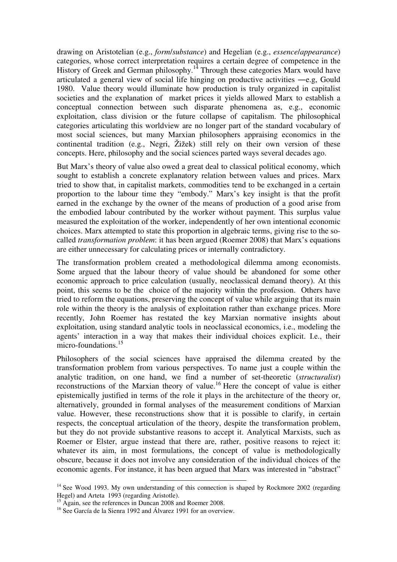drawing on Aristotelian (e.g., *form*/*substance*) and Hegelian (e.g., *essence*/*appearance*) categories, whose correct interpretation requires a certain degree of competence in the History of Greek and German philosophy.<sup>14</sup> Through these categories Marx would have articulated a general view of social life hinging on productive activities ―e.g, Gould 1980. Value theory would illuminate how production is truly organized in capitalist societies and the explanation of market prices it yields allowed Marx to establish a conceptual connection between such disparate phenomena as, e.g., economic exploitation, class division or the future collapse of capitalism. The philosophical categories articulating this worldview are no longer part of the standard vocabulary of most social sciences, but many Marxian philosophers appraising economics in the continental tradition (e.g., Negri, Žižek) still rely on their own version of these concepts. Here, philosophy and the social sciences parted ways several decades ago.

But Marx's theory of value also owed a great deal to classical political economy, which sought to establish a concrete explanatory relation between values and prices. Marx tried to show that, in capitalist markets, commodities tend to be exchanged in a certain proportion to the labour time they "embody." Marx's key insight is that the profit earned in the exchange by the owner of the means of production of a good arise from the embodied labour contributed by the worker without payment. This surplus value measured the exploitation of the worker, independently of her own intentional economic choices. Marx attempted to state this proportion in algebraic terms, giving rise to the socalled *transformation problem*: it has been argued (Roemer 2008) that Marx's equations are either unnecessary for calculating prices or internally contradictory.

The transformation problem created a methodological dilemma among economists. Some argued that the labour theory of value should be abandoned for some other economic approach to price calculation (usually, neoclassical demand theory). At this point, this seems to be the choice of the majority within the profession. Others have tried to reform the equations, preserving the concept of value while arguing that its main role within the theory is the analysis of exploitation rather than exchange prices. More recently, John Roemer has restated the key Marxian normative insights about exploitation, using standard analytic tools in neoclassical economics, i.e., modeling the agents' interaction in a way that makes their individual choices explicit. I.e., their micro-foundations.<sup>15</sup>

Philosophers of the social sciences have appraised the dilemma created by the transformation problem from various perspectives. To name just a couple within the analytic tradition, on one hand, we find a number of set-theoretic (*structuralist*) reconstructions of the Marxian theory of value.<sup>16</sup> Here the concept of value is either epistemically justified in terms of the role it plays in the architecture of the theory or, alternatively, grounded in formal analyses of the measurement conditions of Marxian value. However, these reconstructions show that it is possible to clarify, in certain respects, the conceptual articulation of the theory, despite the transformation problem, but they do not provide substantive reasons to accept it. Analytical Marxists, such as Roemer or Elster, argue instead that there are, rather, positive reasons to reject it: whatever its aim, in most formulations, the concept of value is methodologically obscure, because it does not involve any consideration of the individual choices of the economic agents. For instance, it has been argued that Marx was interested in "abstract"

 $14$  See Wood 1993. My own understanding of this connection is shaped by Rockmore 2002 (regarding Hegel) and Arteta 1993 (regarding Aristotle).

<sup>&</sup>lt;sup>15</sup> Again, see the references in Duncan 2008 and Roemer 2008.

<sup>&</sup>lt;sup>16</sup> See García de la Sienra 1992 and Álvarez 1991 for an overview.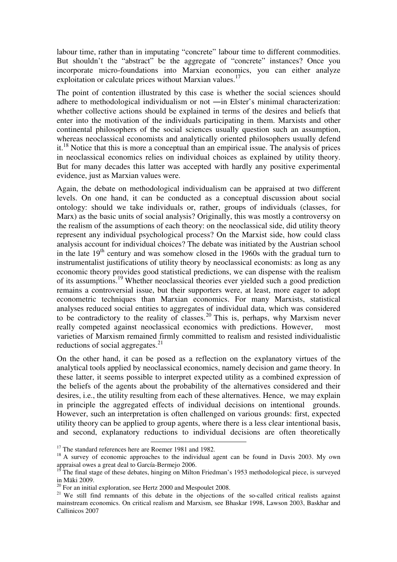labour time, rather than in imputating "concrete" labour time to different commodities. But shouldn't the "abstract" be the aggregate of "concrete" instances? Once you incorporate micro-foundations into Marxian economics, you can either analyze exploitation or calculate prices without Marxian values. $^{17}$ 

The point of contention illustrated by this case is whether the social sciences should adhere to methodological individualism or not ―in Elster's minimal characterization: whether collective actions should be explained in terms of the desires and beliefs that enter into the motivation of the individuals participating in them. Marxists and other continental philosophers of the social sciences usually question such an assumption, whereas neoclassical economists and analytically oriented philosophers usually defend  $it.<sup>18</sup>$  Notice that this is more a conceptual than an empirical issue. The analysis of prices in neoclassical economics relies on individual choices as explained by utility theory. But for many decades this latter was accepted with hardly any positive experimental evidence, just as Marxian values were.

Again, the debate on methodological individualism can be appraised at two different levels. On one hand, it can be conducted as a conceptual discussion about social ontology: should we take individuals or, rather, groups of individuals (classes, for Marx) as the basic units of social analysis? Originally, this was mostly a controversy on the realism of the assumptions of each theory: on the neoclassical side, did utility theory represent any individual psychological process? On the Marxist side, how could class analysis account for individual choices? The debate was initiated by the Austrian school in the late  $19<sup>th</sup>$  century and was somehow closed in the 1960s with the gradual turn to instrumentalist justifications of utility theory by neoclassical economists: as long as any economic theory provides good statistical predictions, we can dispense with the realism of its assumptions.<sup>19</sup> Whether neoclassical theories ever yielded such a good prediction remains a controversial issue, but their supporters were, at least, more eager to adopt econometric techniques than Marxian economics. For many Marxists, statistical analyses reduced social entities to aggregates of individual data, which was considered to be contradictory to the reality of classes.<sup>20</sup> This is, perhaps, why Marxism never really competed against neoclassical economics with predictions. However, most varieties of Marxism remained firmly committed to realism and resisted individualistic reductions of social aggregates. $21$ 

On the other hand, it can be posed as a reflection on the explanatory virtues of the analytical tools applied by neoclassical economics, namely decision and game theory. In these latter, it seems possible to interpret expected utility as a combined expression of the beliefs of the agents about the probability of the alternatives considered and their desires, i.e., the utility resulting from each of these alternatives. Hence, we may explain in principle the aggregated effects of individual decisions on intentional grounds. However, such an interpretation is often challenged on various grounds: first, expected utility theory can be applied to group agents, where there is a less clear intentional basis, and second, explanatory reductions to individual decisions are often theoretically

<sup>&</sup>lt;sup>17</sup> The standard references here are Roemer 1981 and 1982.

 $18$  A survey of economic approaches to the individual agent can be found in Davis 2003. My own appraisal owes a great deal to García-Bermejo 2006.

<sup>19</sup> The final stage of these debates, hinging on Milton Friedman's 1953 methodological piece, is surveyed in Mäki 2009.

 $^{20}$  For an initial exploration, see Hertz 2000 and Mespoulet 2008.

<sup>&</sup>lt;sup>21</sup> We still find remnants of this debate in the objections of the so-called critical realists against mainstream economics. On critical realism and Marxism, see Bhaskar 1998, Lawson 2003, Baskhar and Callinicos 2007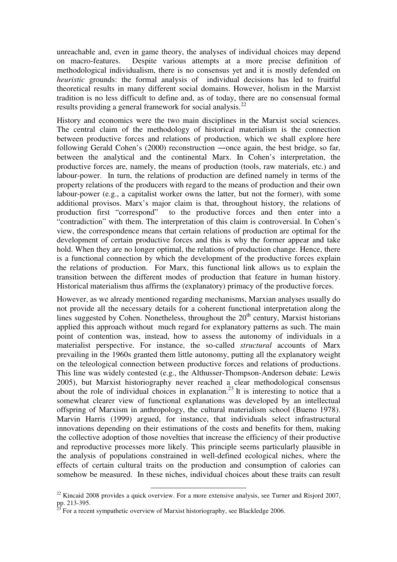unreachable and, even in game theory, the analyses of individual choices may depend on macro-features. Despite various attempts at a more precise definition of methodological individualism, there is no consensus yet and it is mostly defended on *heuristic* grounds: the formal analysis of individual decisions has led to fruitful theoretical results in many different social domains. However, holism in the Marxist tradition is no less difficult to define and, as of today, there are no consensual formal results providing a general framework for social analysis.<sup>22</sup>

History and economics were the two main disciplines in the Marxist social sciences. The central claim of the methodology of historical materialism is the connection between productive forces and relations of production, which we shall explore here following Gerald Cohen's (2000) reconstruction ―once again, the best bridge, so far, between the analytical and the continental Marx. In Cohen's interpretation, the productive forces are, namely, the means of production (tools, raw materials, etc.) and labour-power. In turn, the relations of production are defined namely in terms of the property relations of the producers with regard to the means of production and their own labour-power (e.g., a capitalist worker owns the latter, but not the former), with some additional provisos. Marx's major claim is that, throughout history, the relations of production first "correspond" to the productive forces and then enter into a "contradiction" with them. The interpretation of this claim is controversial. In Cohen's view, the correspondence means that certain relations of production are optimal for the development of certain productive forces and this is why the former appear and take hold. When they are no longer optimal, the relations of production change. Hence, there is a functional connection by which the development of the productive forces explain the relations of production. For Marx, this functional link allows us to explain the transition between the different modes of production that feature in human history. Historical materialism thus affirms the (explanatory) primacy of the productive forces.

However, as we already mentioned regarding mechanisms, Marxian analyses usually do not provide all the necessary details for a coherent functional interpretation along the lines suggested by Cohen. Nonetheless, throughout the  $20<sup>th</sup>$  century, Marxist historians applied this approach without much regard for explanatory patterns as such. The main point of contention was, instead, how to assess the autonomy of individuals in a materialist perspective. For instance, the so-called *structural* accounts of Marx prevailing in the 1960s granted them little autonomy, putting all the explanatory weight on the teleological connection between productive forces and relations of productions. This line was widely contested (e.g., the Althusser-Thompson-Anderson debate: Lewis 2005), but Marxist historiography never reached a clear methodological consensus about the role of individual choices in explanation.<sup>23</sup> It is interesting to notice that a somewhat clearer view of functional explanations was developed by an intellectual offspring of Marxism in anthropology, the cultural materialism school (Bueno 1978). Marvin Harris (1999) argued, for instance, that individuals select infrastructural innovations depending on their estimations of the costs and benefits for them, making the collective adoption of those novelties that increase the efficiency of their productive and reproductive processes more likely. This principle seems particularly plausible in the analysis of populations constrained in well-defined ecological niches, where the effects of certain cultural traits on the production and consumption of calories can somehow be measured. In these niches, individual choices about these traits can result

 $^{22}$  Kincaid 2008 provides a quick overview. For a more extensive analysis, see Turner and Risjord 2007, pp. 213-395.

For a recent sympathetic overview of Marxist historiography, see Blackledge 2006.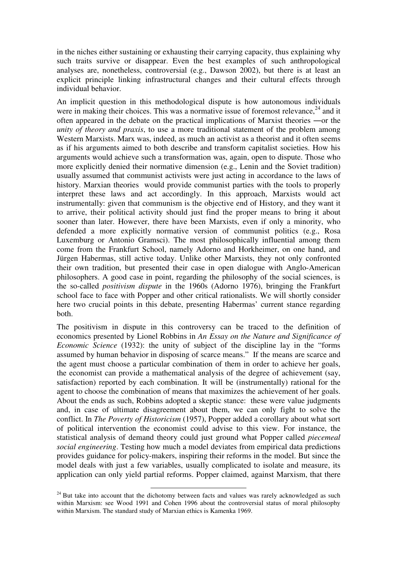in the niches either sustaining or exhausting their carrying capacity, thus explaining why such traits survive or disappear. Even the best examples of such anthropological analyses are, nonetheless, controversial (e.g., Dawson 2002), but there is at least an explicit principle linking infrastructural changes and their cultural effects through individual behavior.

An implicit question in this methodological dispute is how autonomous individuals were in making their choices. This was a normative issue of foremost relevance.<sup>24</sup> and it often appeared in the debate on the practical implications of Marxist theories ―or the *unity of theory and praxis*, to use a more traditional statement of the problem among Western Marxists. Marx was, indeed, as much an activist as a theorist and it often seems as if his arguments aimed to both describe and transform capitalist societies. How his arguments would achieve such a transformation was, again, open to dispute. Those who more explicitly denied their normative dimension (e.g., Lenin and the Soviet tradition) usually assumed that communist activists were just acting in accordance to the laws of history. Marxian theories would provide communist parties with the tools to properly interpret these laws and act accordingly. In this approach, Marxists would act instrumentally: given that communism is the objective end of History, and they want it to arrive, their political activity should just find the proper means to bring it about sooner than later. However, there have been Marxists, even if only a minority, who defended a more explicitly normative version of communist politics (e.g., Rosa Luxemburg or Antonio Gramsci). The most philosophically influential among them come from the Frankfurt School, namely Adorno and Horkheimer, on one hand, and Jürgen Habermas, still active today. Unlike other Marxists, they not only confronted their own tradition, but presented their case in open dialogue with Anglo-American philosophers. A good case in point, regarding the philosophy of the social sciences, is the so-called *positivism dispute* in the 1960s (Adorno 1976), bringing the Frankfurt school face to face with Popper and other critical rationalists. We will shortly consider here two crucial points in this debate, presenting Habermas' current stance regarding both.

The positivism in dispute in this controversy can be traced to the definition of economics presented by Lionel Robbins in *An Essay on the Nature and Significance of Economic Science* (1932): the unity of subject of the discipline lay in the "forms assumed by human behavior in disposing of scarce means." If the means are scarce and the agent must choose a particular combination of them in order to achieve her goals, the economist can provide a mathematical analysis of the degree of achievement (say, satisfaction) reported by each combination. It will be (instrumentally) rational for the agent to choose the combination of means that maximizes the achievement of her goals. About the ends as such, Robbins adopted a skeptic stance: these were value judgments and, in case of ultimate disagreement about them, we can only fight to solve the conflict. In *The Poverty of Historicism* (1957), Popper added a corollary about what sort of political intervention the economist could advise to this view. For instance, the statistical analysis of demand theory could just ground what Popper called *piecemeal social engineering*. Testing how much a model deviates from empirical data predictions provides guidance for policy-makers, inspiring their reforms in the model. But since the model deals with just a few variables, usually complicated to isolate and measure, its application can only yield partial reforms. Popper claimed, against Marxism, that there

 $24$  But take into account that the dichotomy between facts and values was rarely acknowledged as such within Marxism: see Wood 1991 and Cohen 1996 about the controversial status of moral philosophy within Marxism. The standard study of Marxian ethics is Kamenka 1969.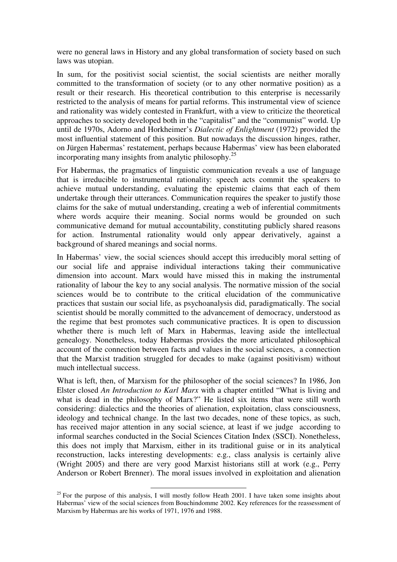were no general laws in History and any global transformation of society based on such laws was utopian.

In sum, for the positivist social scientist, the social scientists are neither morally committed to the transformation of society (or to any other normative position) as a result or their research. His theoretical contribution to this enterprise is necessarily restricted to the analysis of means for partial reforms. This instrumental view of science and rationality was widely contested in Frankfurt, with a view to criticize the theoretical approaches to society developed both in the "capitalist" and the "communist" world. Up until de 1970s, Adorno and Horkheimer's *Dialectic of Enlightment* (1972) provided the most influential statement of this position. But nowadays the discussion hinges, rather, on Jürgen Habermas' restatement, perhaps because Habermas' view has been elaborated incorporating many insights from analytic philosophy. 25

For Habermas, the pragmatics of linguistic communication reveals a use of language that is irreducible to instrumental rationality: speech acts commit the speakers to achieve mutual understanding, evaluating the epistemic claims that each of them undertake through their utterances. Communication requires the speaker to justify those claims for the sake of mutual understanding, creating a web of inferential commitments where words acquire their meaning. Social norms would be grounded on such communicative demand for mutual accountability, constituting publicly shared reasons for action. Instrumental rationality would only appear derivatively, against a background of shared meanings and social norms.

In Habermas' view, the social sciences should accept this irreducibly moral setting of our social life and appraise individual interactions taking their communicative dimension into account. Marx would have missed this in making the instrumental rationality of labour the key to any social analysis. The normative mission of the social sciences would be to contribute to the critical elucidation of the communicative practices that sustain our social life, as psychoanalysis did, paradigmatically. The social scientist should be morally committed to the advancement of democracy, understood as the regime that best promotes such communicative practices. It is open to discussion whether there is much left of Marx in Habermas, leaving aside the intellectual genealogy. Nonetheless, today Habermas provides the more articulated philosophical account of the connection between facts and values in the social sciences, a connection that the Marxist tradition struggled for decades to make (against positivism) without much intellectual success.

What is left, then, of Marxism for the philosopher of the social sciences? In 1986, Jon Elster closed *An Introduction to Karl Marx* with a chapter entitled "What is living and what is dead in the philosophy of Marx?" He listed six items that were still worth considering: dialectics and the theories of alienation, exploitation, class consciousness, ideology and technical change. In the last two decades, none of these topics, as such, has received major attention in any social science, at least if we judge according to informal searches conducted in the Social Sciences Citation Index (SSCI). Nonetheless, this does not imply that Marxism, either in its traditional guise or in its analytical reconstruction, lacks interesting developments: e.g., class analysis is certainly alive (Wright 2005) and there are very good Marxist historians still at work (e.g., Perry Anderson or Robert Brenner). The moral issues involved in exploitation and alienation

 $^{25}$  For the purpose of this analysis, I will mostly follow Heath 2001. I have taken some insights about Habermas' view of the social sciences from Bouchindomme 2002. Key references for the reassessment of Marxism by Habermas are his works of 1971, 1976 and 1988.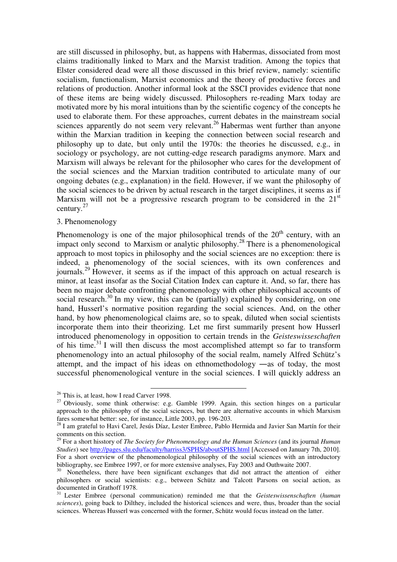are still discussed in philosophy, but, as happens with Habermas, dissociated from most claims traditionally linked to Marx and the Marxist tradition. Among the topics that Elster considered dead were all those discussed in this brief review, namely: scientific socialism, functionalism, Marxist economics and the theory of productive forces and relations of production. Another informal look at the SSCI provides evidence that none of these items are being widely discussed. Philosophers re-reading Marx today are motivated more by his moral intuitions than by the scientific cogency of the concepts he used to elaborate them. For these approaches, current debates in the mainstream social sciences apparently do not seem very relevant.<sup>26</sup> Habermas went further than anyone within the Marxian tradition in keeping the connection between social research and philosophy up to date, but only until the 1970s: the theories he discussed, e.g., in sociology or psychology, are not cutting-edge research paradigms anymore. Marx and Marxism will always be relevant for the philosopher who cares for the development of the social sciences and the Marxian tradition contributed to articulate many of our ongoing debates (e.g., explanation) in the field. However, if we want the philosophy of the social sciences to be driven by actual research in the target disciplines, it seems as if Marxism will not be a progressive research program to be considered in the  $21<sup>st</sup>$ century. $27$ 

### 3. Phenomenology

Phenomenology is one of the major philosophical trends of the  $20<sup>th</sup>$  century, with an impact only second to Marxism or analytic philosophy.<sup>28</sup> There is a phenomenological approach to most topics in philosophy and the social sciences are no exception: there is indeed, a phenomenology of the social sciences, with its own conferences and journals.<sup>29</sup> However, it seems as if the impact of this approach on actual research is minor, at least insofar as the Social Citation Index can capture it. And, so far, there has been no major debate confronting phenomenology with other philosophical accounts of social research.<sup>30</sup> In my view, this can be (partially) explained by considering, on one hand, Husserl's normative position regarding the social sciences. And, on the other hand, by how phenomenological claims are, so to speak, diluted when social scientists incorporate them into their theorizing. Let me first summarily present how Husserl introduced phenomenology in opposition to certain trends in the *Geisteswisseschaften* of his time.<sup>31</sup> I will then discuss the most accomplished attempt so far to transform phenomenology into an actual philosophy of the social realm, namely Alfred Schütz's attempt, and the impact of his ideas on ethnomethodology ―as of today, the most successful phenomenological venture in the social sciences. I will quickly address an

 $26$  This is, at least, how I read Carver 1998.

 $27$  Obviously, some think otherwise: e.g. Gamble 1999. Again, this section hinges on a particular approach to the philosophy of the social sciences, but there are alternative accounts in which Marxism fares somewhat better: see, for instance, Little 2003, pp. 196-203.

<sup>&</sup>lt;sup>28</sup> I am grateful to Havi Carel, Jesús Díaz, Lester Embree, Pablo Hermida and Javier San Martín for their comments on this section.

<sup>29</sup> For a short hisstory of *The Society for Phenomenology and the Human Sciences* (and its journal *Human Studies*) see http://pages.slu.edu/faculty/harriss3/SPHS/aboutSPHS.html [Accessed on January 7th, 2010]. For a short overview of the phenomenological philosophy of the social sciences with an introductory bibliography, see Embree 1997, or for more extensive analyses, Fay 2003 and Outhwaite 2007.

<sup>&</sup>lt;sup>30</sup> Nonetheless, there have been significant exchanges that did not attract the attention of either philosophers or social scientists: e.g., between Schütz and Talcott Parsons on social action, as documented in Grathoff 1978.

<sup>31</sup> Lester Embree (personal communication) reminded me that the *Geisteswissenschaften* (*human sciences*), going back to Dilthey, included the historical sciences and were, thus, broader than the social sciences. Whereas Husserl was concerned with the former, Schütz would focus instead on the latter.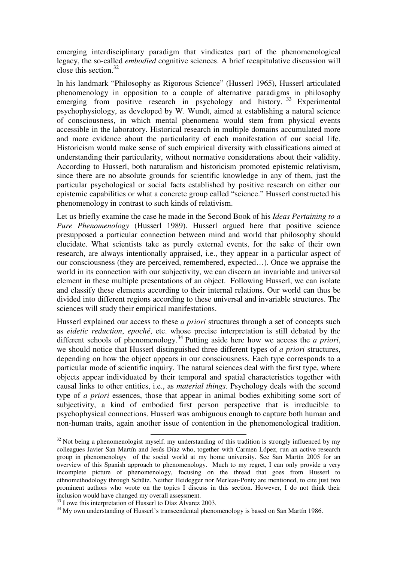emerging interdisciplinary paradigm that vindicates part of the phenomenological legacy, the so-called *embodied* cognitive sciences. A brief recapitulative discussion will close this section.<sup>32</sup>

In his landmark "Philosophy as Rigorous Science" (Husserl 1965), Husserl articulated phenomenology in opposition to a couple of alternative paradigms in philosophy emerging from positive research in psychology and history.  $\frac{33}{3}$  Experimental psychophysiology, as developed by W. Wundt, aimed at establishing a natural science of consciousness, in which mental phenomena would stem from physical events accessible in the laboratory. Historical research in multiple domains accumulated more and more evidence about the particularity of each manifestation of our social life. Historicism would make sense of such empirical diversity with classifications aimed at understanding their particularity, without normative considerations about their validity. According to Husserl, both naturalism and historicism promoted epistemic relativism, since there are no absolute grounds for scientific knowledge in any of them, just the particular psychological or social facts established by positive research on either our epistemic capabilities or what a concrete group called "science." Husserl constructed his phenomenology in contrast to such kinds of relativism.

Let us briefly examine the case he made in the Second Book of his *Ideas Pertaining to a Pure Phenomenology* (Husserl 1989). Husserl argued here that positive science presupposed a particular connection between mind and world that philosophy should elucidate. What scientists take as purely external events, for the sake of their own research, are always intentionally appraised, i.e., they appear in a particular aspect of our consciousness (they are perceived, remembered, expected…). Once we appraise the world in its connection with our subjectivity, we can discern an invariable and universal element in these multiple presentations of an object. Following Husserl, we can isolate and classify these elements according to their internal relations. Our world can thus be divided into different regions according to these universal and invariable structures. The sciences will study their empirical manifestations.

Husserl explained our access to these *a priori* structures through a set of concepts such as *eidetic reduction*, *epoché*, etc. whose precise interpretation is still debated by the different schools of phenomenology.<sup>34</sup> Putting aside here how we access the *a priori*, we should notice that Husserl distinguished three different types of *a priori* structures, depending on how the object appears in our consciousness. Each type corresponds to a particular mode of scientific inquiry. The natural sciences deal with the first type, where objects appear individuated by their temporal and spatial characteristics together with causal links to other entities, i.e., as *material things*. Psychology deals with the second type of *a priori* essences, those that appear in animal bodies exhibiting some sort of subjectivity, a kind of embodied first person perspective that is irreducible to psychophysical connections. Husserl was ambiguous enough to capture both human and non-human traits, again another issue of contention in the phenomenological tradition.

 $32$  Not being a phenomenologist myself, my understanding of this tradition is strongly influenced by my colleagues Javier San Martín and Jesús Díaz who, together with Carmen López, run an active research group in phenomenology of the social world at my home university. See San Martín 2005 for an overview of this Spanish approach to phenomenology. Much to my regret, I can only provide a very incomplete picture of phenomenology, focusing on the thread that goes from Husserl to ethnomethodology through Schütz. Neither Heidegger nor Merleau-Ponty are mentioned, to cite just two prominent authors who wrote on the topics I discuss in this section. However, I do not think their inclusion would have changed my overall assessment.

 $33$  I owe this interpretation of Husserl to Díaz Álvarez 2003.

<sup>&</sup>lt;sup>34</sup> My own understanding of Husserl's transcendental phenomenology is based on San Martín 1986.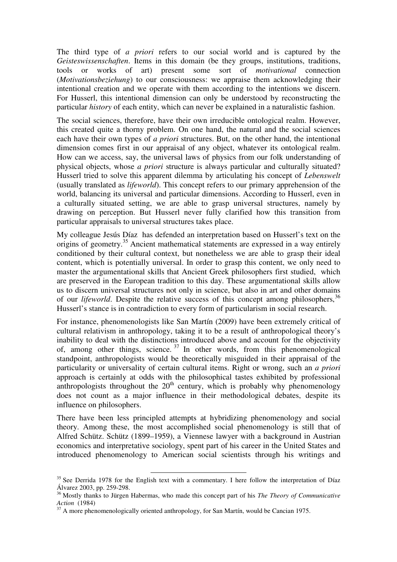The third type of *a priori* refers to our social world and is captured by the *Geisteswissenschaften*. Items in this domain (be they groups, institutions, traditions, tools or works of art) present some sort of *motivational* connection (*Motivationsbeziehung*) to our consciousness: we appraise them acknowledging their intentional creation and we operate with them according to the intentions we discern. For Husserl, this intentional dimension can only be understood by reconstructing the particular *history* of each entity, which can never be explained in a naturalistic fashion.

The social sciences, therefore, have their own irreducible ontological realm. However, this created quite a thorny problem. On one hand, the natural and the social sciences each have their own types of *a priori* structures. But, on the other hand, the intentional dimension comes first in our appraisal of any object, whatever its ontological realm. How can we access, say, the universal laws of physics from our folk understanding of physical objects, whose *a priori* structure is always particular and culturally situated? Husserl tried to solve this apparent dilemma by articulating his concept of *Lebenswelt* (usually translated as *lifeworld*). This concept refers to our primary apprehension of the world, balancing its universal and particular dimensions. According to Husserl, even in a culturally situated setting, we are able to grasp universal structures, namely by drawing on perception. But Husserl never fully clarified how this transition from particular appraisals to universal structures takes place.

My colleague Jesús Díaz has defended an interpretation based on Husserl's text on the origins of geometry.<sup>35</sup> Ancient mathematical statements are expressed in a way entirely conditioned by their cultural context, but nonetheless we are able to grasp their ideal content, which is potentially universal. In order to grasp this content, we only need to master the argumentational skills that Ancient Greek philosophers first studied, which are preserved in the European tradition to this day. These argumentational skills allow us to discern universal structures not only in science, but also in art and other domains of our *lifeworld*. Despite the relative success of this concept among philosophers, <sup>36</sup> Husserl's stance is in contradiction to every form of particularism in social research.

For instance, phenomenologists like San Martín (2009) have been extremely critical of cultural relativism in anthropology, taking it to be a result of anthropological theory's inability to deal with the distinctions introduced above and account for the objectivity of, among other things, science.<sup>37</sup> In other words, from this phenomenological standpoint, anthropologists would be theoretically misguided in their appraisal of the particularity or universality of certain cultural items. Right or wrong, such an *a priori* approach is certainly at odds with the philosophical tastes exhibited by professional anthropologists throughout the  $20<sup>th</sup>$  century, which is probably why phenomenology does not count as a major influence in their methodological debates, despite its influence on philosophers.

There have been less principled attempts at hybridizing phenomenology and social theory. Among these, the most accomplished social phenomenology is still that of Alfred Schütz. Schütz (1899–1959), a Viennese lawyer with a background in Austrian economics and interpretative sociology, spent part of his career in the United States and introduced phenomenology to American social scientists through his writings and

<sup>&</sup>lt;sup>35</sup> See Derrida 1978 for the English text with a commentary. I here follow the interpretation of Díaz Álvarez 2003, pp. 259-298.

<sup>36</sup> Mostly thanks to Jürgen Habermas, who made this concept part of his *The Theory of Communicative Action* (1984)

 $37$  A more phenomenologically oriented anthropology, for San Martín, would be Cancian 1975.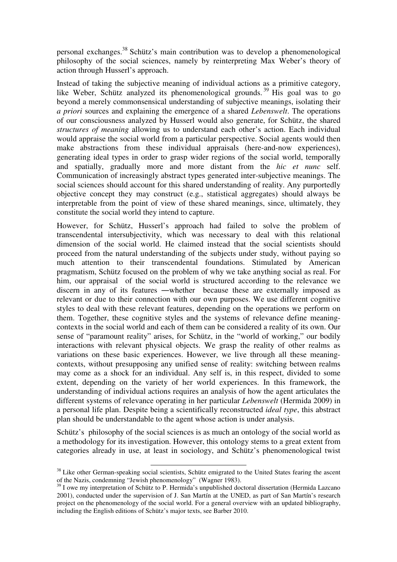personal exchanges.<sup>38</sup> Schütz's main contribution was to develop a phenomenological philosophy of the social sciences, namely by reinterpreting Max Weber's theory of action through Husserl's approach.

Instead of taking the subjective meaning of individual actions as a primitive category, like Weber, Schütz analyzed its phenomenological grounds.<sup>39</sup> His goal was to go beyond a merely commonsensical understanding of subjective meanings, isolating their *a priori* sources and explaining the emergence of a shared *Lebenswelt*. The operations of our consciousness analyzed by Husserl would also generate, for Schütz, the shared *structures of meaning* allowing us to understand each other's action. Each individual would appraise the social world from a particular perspective. Social agents would then make abstractions from these individual appraisals (here-and-now experiences), generating ideal types in order to grasp wider regions of the social world, temporally and spatially, gradually more and more distant from the *hic et nunc* self. Communication of increasingly abstract types generated inter-subjective meanings. The social sciences should account for this shared understanding of reality. Any purportedly objective concept they may construct (e.g., statistical aggregates) should always be interpretable from the point of view of these shared meanings, since, ultimately, they constitute the social world they intend to capture.

However, for Schütz, Husserl's approach had failed to solve the problem of transcendental intersubjectivity, which was necessary to deal with this relational dimension of the social world. He claimed instead that the social scientists should proceed from the natural understanding of the subjects under study, without paying so much attention to their transcendental foundations. Stimulated by American pragmatism, Schütz focused on the problem of why we take anything social as real. For him, our appraisal of the social world is structured according to the relevance we discern in any of its features ―whether because these are externally imposed as relevant or due to their connection with our own purposes. We use different cognitive styles to deal with these relevant features, depending on the operations we perform on them. Together, these cognitive styles and the systems of relevance define meaningcontexts in the social world and each of them can be considered a reality of its own. Our sense of "paramount reality" arises, for Schütz, in the "world of working," our bodily interactions with relevant physical objects. We grasp the reality of other realms as variations on these basic experiences. However, we live through all these meaningcontexts, without presupposing any unified sense of reality: switching between realms may come as a shock for an individual. Any self is, in this respect, divided to some extent, depending on the variety of her world experiences. In this framework, the understanding of individual actions requires an analysis of how the agent articulates the different systems of relevance operating in her particular *Lebenswelt* (Hermida 2009) in a personal life plan. Despite being a scientifically reconstructed *ideal type*, this abstract plan should be understandable to the agent whose action is under analysis.

Schütz's philosophy of the social sciences is as much an ontology of the social world as a methodology for its investigation. However, this ontology stems to a great extent from categories already in use, at least in sociology, and Schütz's phenomenological twist

 $38$  Like other German-speaking social scientists, Schütz emigrated to the United States fearing the ascent of the Nazis, condemning "Jewish phenomenology" (Wagner 1983).

 $39$  I owe my interpretation of Schütz to P. Hermida's unpublished doctoral dissertation (Hermida Lazcano 2001), conducted under the supervision of J. San Martín at the UNED, as part of San Martín's research project on the phenomenology of the social world. For a general overview with an updated bibliography, including the English editions of Schütz's major texts, see Barber 2010.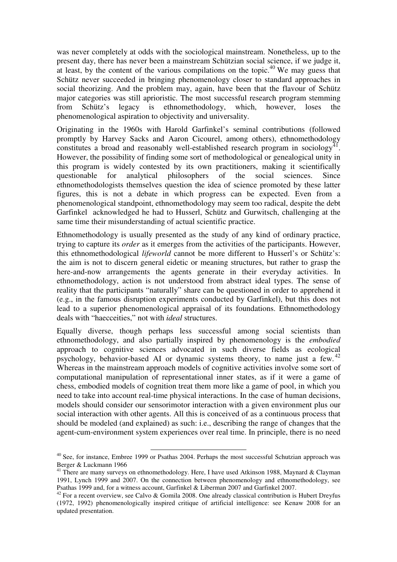was never completely at odds with the sociological mainstream. Nonetheless, up to the present day, there has never been a mainstream Schützian social science, if we judge it, at least, by the content of the various compilations on the topic.<sup>40</sup> We may guess that Schütz never succeeded in bringing phenomenology closer to standard approaches in social theorizing. And the problem may, again, have been that the flavour of Schütz major categories was still aprioristic. The most successful research program stemming from Schütz's legacy is ethnomethodology, which, however, loses the phenomenological aspiration to objectivity and universality.

Originating in the 1960s with Harold Garfinkel's seminal contributions (followed promptly by Harvey Sacks and Aaron Cicourel, among others), ethnomethodology constitutes a broad and reasonably well-established research program in sociology $4^{\frac{1}{4}}$ . However, the possibility of finding some sort of methodological or genealogical unity in this program is widely contested by its own practitioners, making it scientifically questionable for analytical philosophers of the social sciences. Since ethnomethodologists themselves question the idea of science promoted by these latter figures, this is not a debate in which progress can be expected. Even from a phenomenological standpoint, ethnomethodology may seem too radical, despite the debt Garfinkel acknowledged he had to Husserl, Schütz and Gurwitsch, challenging at the same time their misunderstanding of actual scientific practice.

Ethnomethodology is usually presented as the study of any kind of ordinary practice, trying to capture its *order* as it emerges from the activities of the participants. However, this ethnomethodological *lifeworld* cannot be more different to Husserl's or Schütz's: the aim is not to discern general eidetic or meaning structures, but rather to grasp the here-and-now arrangements the agents generate in their everyday activities. In ethnomethodology, action is not understood from abstract ideal types. The sense of reality that the participants "naturally" share can be questioned in order to apprehend it (e.g., in the famous disruption experiments conducted by Garfinkel), but this does not lead to a superior phenomenological appraisal of its foundations. Ethnomethodology deals with "haecceities," not with *ideal* structures.

Equally diverse, though perhaps less successful among social scientists than ethnomethodology, and also partially inspired by phenomenology is the *embodied* approach to cognitive sciences advocated in such diverse fields as ecological psychology, behavior-based AI or dynamic systems theory, to name just a few.<sup>42</sup> Whereas in the mainstream approach models of cognitive activities involve some sort of computational manipulation of representational inner states, as if it were a game of chess, embodied models of cognition treat them more like a game of pool, in which you need to take into account real-time physical interactions. In the case of human decisions, models should consider our sensorimotor interaction with a given environment plus our social interaction with other agents. All this is conceived of as a continuous process that should be modeled (and explained) as such: i.e., describing the range of changes that the agent-cum-environment system experiences over real time. In principle, there is no need

<sup>&</sup>lt;sup>40</sup> See, for instance, Embree 1999 or Psathas 2004. Perhaps the most successful Schutzian approach was Berger & Luckmann 1966

<sup>&</sup>lt;sup>41</sup> There are many surveys on ethnomethodology. Here, I have used Atkinson 1988, Maynard & Clayman 1991, Lynch 1999 and 2007. On the connection between phenomenology and ethnomethodology, see Psathas 1999 and, for a witness account, Garfinkel & Liberman 2007 and Garfinkel 2007.

 $42$  For a recent overview, see Calvo & Gomila 2008. One already classical contribution is Hubert Dreyfus (1972, 1992) phenomenologically inspired critique of artificial intelligence: see Kenaw 2008 for an updated presentation.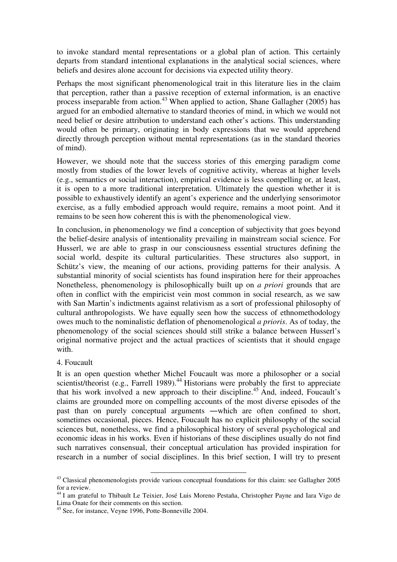to invoke standard mental representations or a global plan of action. This certainly departs from standard intentional explanations in the analytical social sciences, where beliefs and desires alone account for decisions via expected utility theory.

Perhaps the most significant phenomenological trait in this literature lies in the claim that perception, rather than a passive reception of external information, is an enactive process inseparable from action.<sup>43</sup> When applied to action, Shane Gallagher (2005) has argued for an embodied alternative to standard theories of mind, in which we would not need belief or desire attribution to understand each other's actions. This understanding would often be primary, originating in body expressions that we would apprehend directly through perception without mental representations (as in the standard theories of mind).

However, we should note that the success stories of this emerging paradigm come mostly from studies of the lower levels of cognitive activity, whereas at higher levels (e.g., semantics or social interaction), empirical evidence is less compelling or, at least, it is open to a more traditional interpretation. Ultimately the question whether it is possible to exhaustively identify an agent's experience and the underlying sensorimotor exercise, as a fully embodied approach would require, remains a moot point. And it remains to be seen how coherent this is with the phenomenological view.

In conclusion, in phenomenology we find a conception of subjectivity that goes beyond the belief-desire analysis of intentionality prevailing in mainstream social science. For Husserl, we are able to grasp in our consciousness essential structures defining the social world, despite its cultural particularities. These structures also support, in Schütz's view, the meaning of our actions, providing patterns for their analysis. A substantial minority of social scientists has found inspiration here for their approaches Nonetheless, phenomenology is philosophically built up on *a priori* grounds that are often in conflict with the empiricist vein most common in social research, as we saw with San Martin's indictments against relativism as a sort of professional philosophy of cultural anthropologists. We have equally seen how the success of ethnomethodology owes much to the nominalistic deflation of phenomenological *a prioris*. As of today, the phenomenology of the social sciences should still strike a balance between Husserl's original normative project and the actual practices of scientists that it should engage with.

# 4. Foucault

It is an open question whether Michel Foucault was more a philosopher or a social scientist/theorist (e.g., Farrell 1989).<sup>44</sup> Historians were probably the first to appreciate that his work involved a new approach to their discipline.<sup>45</sup> And, indeed, Foucault's claims are grounded more on compelling accounts of the most diverse episodes of the past than on purely conceptual arguments ―which are often confined to short, sometimes occasional, pieces. Hence, Foucault has no explicit philosophy of the social sciences but, nonetheless, we find a philosophical history of several psychological and economic ideas in his works. Even if historians of these disciplines usually do not find such narratives consensual, their conceptual articulation has provided inspiration for research in a number of social disciplines. In this brief section, I will try to present

<sup>&</sup>lt;sup>43</sup> Classical phenomenologists provide various conceptual foundations for this claim: see Gallagher 2005 for a review.

<sup>44</sup> I am grateful to Thibault Le Teixier, José Luis Moreno Pestaña, Christopher Payne and Iara Vigo de Lima Onate for their comments on this section.

<sup>45</sup> See, for instance, Veyne 1996, Potte-Bonneville 2004.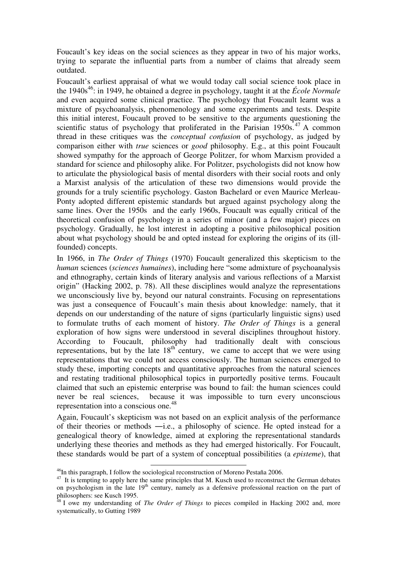Foucault's key ideas on the social sciences as they appear in two of his major works, trying to separate the influential parts from a number of claims that already seem outdated.

Foucault's earliest appraisal of what we would today call social science took place in the 1940s<sup>46</sup>: in 1949, he obtained a degree in psychology, taught it at the *École Normale* and even acquired some clinical practice. The psychology that Foucault learnt was a mixture of psychoanalysis, phenomenology and some experiments and tests. Despite this initial interest, Foucault proved to be sensitive to the arguments questioning the scientific status of psychology that proliferated in the Parisian  $1950s$ .<sup>47</sup> A common thread in these critiques was the *conceptual confusion* of psychology, as judged by comparison either with *true* sciences or *good* philosophy. E.g., at this point Foucault showed sympathy for the approach of George Politzer, for whom Marxism provided a standard for science and philosophy alike. For Politzer, psychologists did not know how to articulate the physiological basis of mental disorders with their social roots and only a Marxist analysis of the articulation of these two dimensions would provide the grounds for a truly scientific psychology. Gaston Bachelard or even Maurice Merleau-Ponty adopted different epistemic standards but argued against psychology along the same lines. Over the 1950s and the early 1960s, Foucault was equally critical of the theoretical confusion of psychology in a series of minor (and a few major) pieces on psychology. Gradually, he lost interest in adopting a positive philosophical position about what psychology should be and opted instead for exploring the origins of its (illfounded) concepts.

In 1966, in *The Order of Things* (1970) Foucault generalized this skepticism to the *human* sciences (*sciences humaines*), including here "some admixture of psychoanalysis and ethnography, certain kinds of literary analysis and various reflections of a Marxist origin" (Hacking 2002, p. 78). All these disciplines would analyze the representations we unconsciously live by, beyond our natural constraints. Focusing on representations was just a consequence of Foucault's main thesis about knowledge: namely, that it depends on our understanding of the nature of signs (particularly linguistic signs) used to formulate truths of each moment of history. *The Order of Things* is a general exploration of how signs were understood in several disciplines throughout history. According to Foucault, philosophy had traditionally dealt with conscious representations, but by the late  $18<sup>th</sup>$  century, we came to accept that we were using representations that we could not access consciously. The human sciences emerged to study these, importing concepts and quantitative approaches from the natural sciences and restating traditional philosophical topics in purportedly positive terms. Foucault claimed that such an epistemic enterprise was bound to fail: the human sciences could never be real sciences, because it was impossible to turn every unconscious representation into a conscious one.<sup>48</sup>

Again, Foucault's skepticism was not based on an explicit analysis of the performance of their theories or methods ―i.e., a philosophy of science. He opted instead for a genealogical theory of knowledge, aimed at exploring the representational standards underlying these theories and methods as they had emerged historically. For Foucault, these standards would be part of a system of conceptual possibilities (a *episteme*), that

 $^{46}$ In this paragraph, I follow the sociological reconstruction of Moreno Pestaña 2006.

 $47$  It is tempting to apply here the same principles that M. Kusch used to reconstruct the German debates on psychologism in the late  $19<sup>th</sup>$  century, namely as a defensive professional reaction on the part of philosophers: see Kusch 1995.

<sup>&</sup>lt;sup>48</sup> I owe my understanding of *The Order of Things* to pieces compiled in Hacking 2002 and, more systematically, to Gutting 1989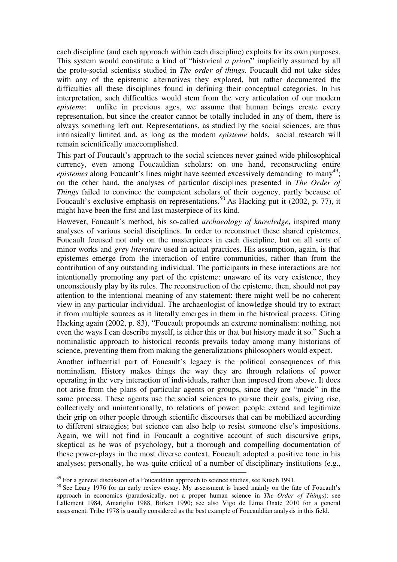each discipline (and each approach within each discipline) exploits for its own purposes. This system would constitute a kind of "historical *a priori*" implicitly assumed by all the proto-social scientists studied in *The order of things*. Foucault did not take sides with any of the epistemic alternatives they explored, but rather documented the difficulties all these disciplines found in defining their conceptual categories. In his interpretation, such difficulties would stem from the very articulation of our modern *episteme*: unlike in previous ages, we assume that human beings create every representation, but since the creator cannot be totally included in any of them, there is always something left out. Representations, as studied by the social sciences, are thus intrinsically limited and, as long as the modern *episteme* holds, social research will remain scientifically unaccomplished.

This part of Foucault's approach to the social sciences never gained wide philosophical currency, even among Foucauldian scholars: on one hand, reconstructing entire epistemes along Foucault's lines might have seemed excessively demanding to many<sup>49</sup>; on the other hand, the analyses of particular disciplines presented in *The Order of Things* failed to convince the competent scholars of their cogency, partly because of Foucault's exclusive emphasis on representations.<sup>50</sup> As Hacking put it (2002, p. 77), it might have been the first and last masterpiece of its kind.

However, Foucault's method, his so-called *archaeology of knowledge*, inspired many analyses of various social disciplines. In order to reconstruct these shared epistemes, Foucault focused not only on the masterpieces in each discipline, but on all sorts of minor works and *grey literature* used in actual practices. His assumption, again, is that epistemes emerge from the interaction of entire communities, rather than from the contribution of any outstanding individual. The participants in these interactions are not intentionally promoting any part of the episteme: unaware of its very existence, they unconsciously play by its rules. The reconstruction of the episteme, then, should not pay attention to the intentional meaning of any statement: there might well be no coherent view in any particular individual. The archaeologist of knowledge should try to extract it from multiple sources as it literally emerges in them in the historical process. Citing Hacking again (2002, p. 83), "Foucault propounds an extreme nominalism: nothing, not even the ways I can describe myself, is either this or that but history made it so." Such a nominalistic approach to historical records prevails today among many historians of science, preventing them from making the generalizations philosophers would expect.

Another influential part of Foucault's legacy is the political consequences of this nominalism. History makes things the way they are through relations of power operating in the very interaction of individuals, rather than imposed from above. It does not arise from the plans of particular agents or groups, since they are "made" in the same process. These agents use the social sciences to pursue their goals, giving rise, collectively and unintentionally, to relations of power: people extend and legitimize their grip on other people through scientific discourses that can be mobilized according to different strategies; but science can also help to resist someone else's impositions. Again, we will not find in Foucault a cognitive account of such discursive grips, skeptical as he was of psychology, but a thorough and compelling documentation of these power-plays in the most diverse context. Foucault adopted a positive tone in his analyses; personally, he was quite critical of a number of disciplinary institutions (e.g.,

 $49$  For a general discussion of a Foucauldian approach to science studies, see Kusch 1991.

<sup>&</sup>lt;sup>50</sup> See Leary 1976 for an early review essay. My assessment is based mainly on the fate of Foucault's approach in economics (paradoxically, not a proper human science in *The Order of Things*): see Lallement 1984, Amariglio 1988, Birken 1990; see also Vigo de Lima Onate 2010 for a general assessment. Tribe 1978 is usually considered as the best example of Foucauldian analysis in this field.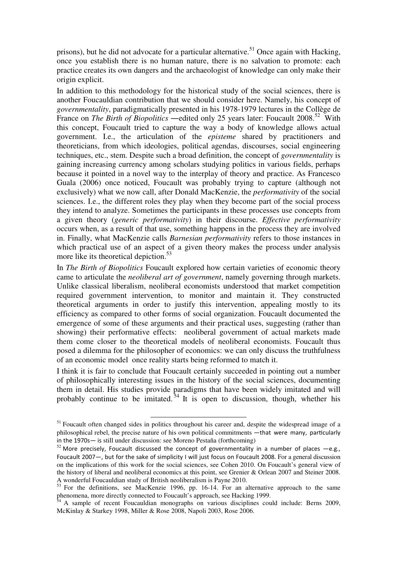prisons), but he did not advocate for a particular alternative.<sup>51</sup> Once again with Hacking, once you establish there is no human nature, there is no salvation to promote: each practice creates its own dangers and the archaeologist of knowledge can only make their origin explicit.

In addition to this methodology for the historical study of the social sciences, there is another Foucauldian contribution that we should consider here. Namely, his concept of *governmentality*, paradigmatically presented in his 1978-1979 lectures in the Collège de France on *The Birth of Biopolitics* —edited only 25 years later: Foucault 2008.<sup>52</sup> With this concept, Foucault tried to capture the way a body of knowledge allows actual government. I.e., the articulation of the *episteme* shared by practitioners and theoreticians, from which ideologies, political agendas, discourses, social engineering techniques, etc., stem. Despite such a broad definition, the concept of *governmentality* is gaining increasing currency among scholars studying politics in various fields, perhaps because it pointed in a novel way to the interplay of theory and practice. As Francesco Guala (2006) once noticed, Foucault was probably trying to capture (although not exclusively) what we now call, after Donald MacKenzie, the *performativity* of the social sciences. I.e., the different roles they play when they become part of the social process they intend to analyze. Sometimes the participants in these processes use concepts from a given theory (*generic performativity*) in their discourse. *Effective performativity*  occurs when, as a result of that use, something happens in the process they are involved in. Finally, what MacKenzie calls *Barnesian performativity* refers to those instances in which practical use of an aspect of a given theory makes the process under analysis more like its theoretical depiction.<sup>53</sup>

In *The Birth of Biopolitics* Foucault explored how certain varieties of economic theory came to articulate the *neoliberal art of government*, namely governing through markets. Unlike classical liberalism, neoliberal economists understood that market competition required government intervention, to monitor and maintain it. They constructed theoretical arguments in order to justify this intervention, appealing mostly to its efficiency as compared to other forms of social organization. Foucault documented the emergence of some of these arguments and their practical uses, suggesting (rather than showing) their performative effects: neoliberal government of actual markets made them come closer to the theoretical models of neoliberal economists. Foucault thus posed a dilemma for the philosopher of economics: we can only discuss the truthfulness of an economic model once reality starts being reformed to match it.

I think it is fair to conclude that Foucault certainly succeeded in pointing out a number of philosophically interesting issues in the history of the social sciences, documenting them in detail. His studies provide paradigms that have been widely imitated and will probably continue to be imitated.  $54$  It is open to discussion, though, whether his

<sup>&</sup>lt;sup>51</sup> Foucault often changed sides in politics throughout his career and, despite the widespread image of a philosophical rebel, the precise nature of his own political commitments —that were many, particularly in the 1970s― is still under discussion: see Moreno Pestaña (forthcoming)

 $52$  More precisely, Foucault discussed the concept of governmentality in a number of places  $-e.g.,$ Foucault 2007―, but for the sake of simplicity I will just focus on Foucault 2008. For a general discussion on the implications of this work for the social sciences, see Cohen 2010. On Foucault's general view of the history of liberal and neoliberal economics at this point, see Grenier & Orlean 2007 and Steiner 2008. A wonderful Foucauldian study of British neoliberalism is Payne 2010.

 $53$  For the definitions, see MacKenzie 1996, pp. 16-14. For an alternative approach to the same phenomena, more directly connected to Foucault's approach, see Hacking 1999.

 $54$  A sample of recent Foucauldian monographs on various disciplines could include: Berns 2009, McKinlay & Starkey 1998, Miller & Rose 2008, Napoli 2003, Rose 2006.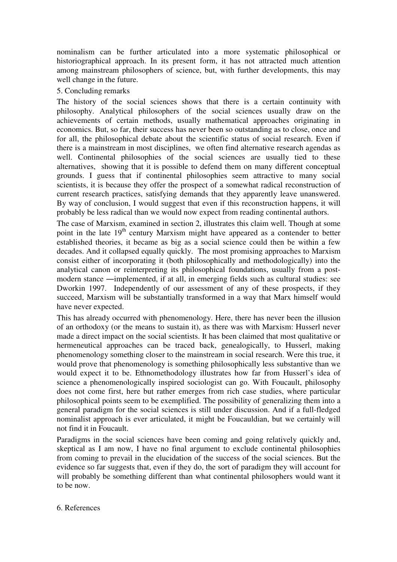nominalism can be further articulated into a more systematic philosophical or historiographical approach. In its present form, it has not attracted much attention among mainstream philosophers of science, but, with further developments, this may well change in the future.

# 5. Concluding remarks

The history of the social sciences shows that there is a certain continuity with philosophy. Analytical philosophers of the social sciences usually draw on the achievements of certain methods, usually mathematical approaches originating in economics. But, so far, their success has never been so outstanding as to close, once and for all, the philosophical debate about the scientific status of social research. Even if there is a mainstream in most disciplines, we often find alternative research agendas as well. Continental philosophies of the social sciences are usually tied to these alternatives, showing that it is possible to defend them on many different conceptual grounds. I guess that if continental philosophies seem attractive to many social scientists, it is because they offer the prospect of a somewhat radical reconstruction of current research practices, satisfying demands that they apparently leave unanswered. By way of conclusion, I would suggest that even if this reconstruction happens, it will probably be less radical than we would now expect from reading continental authors.

The case of Marxism, examined in section 2, illustrates this claim well. Though at some point in the late 19<sup>th</sup> century Marxism might have appeared as a contender to better established theories, it became as big as a social science could then be within a few decades. And it collapsed equally quickly. The most promising approaches to Marxism consist either of incorporating it (both philosophically and methodologically) into the analytical canon or reinterpreting its philosophical foundations, usually from a postmodern stance ―implemented, if at all, in emerging fields such as cultural studies: see Dworkin 1997. Independently of our assessment of any of these prospects, if they succeed, Marxism will be substantially transformed in a way that Marx himself would have never expected.

This has already occurred with phenomenology. Here, there has never been the illusion of an orthodoxy (or the means to sustain it), as there was with Marxism: Husserl never made a direct impact on the social scientists. It has been claimed that most qualitative or hermeneutical approaches can be traced back, genealogically, to Husserl, making phenomenology something closer to the mainstream in social research. Were this true, it would prove that phenomenology is something philosophically less substantive than we would expect it to be. Ethnomethodology illustrates how far from Husserl's idea of science a phenomenologically inspired sociologist can go. With Foucault, philosophy does not come first, here but rather emerges from rich case studies, where particular philosophical points seem to be exemplified. The possibility of generalizing them into a general paradigm for the social sciences is still under discussion. And if a full-fledged nominalist approach is ever articulated, it might be Foucauldian, but we certainly will not find it in Foucault.

Paradigms in the social sciences have been coming and going relatively quickly and, skeptical as I am now, I have no final argument to exclude continental philosophies from coming to prevail in the elucidation of the success of the social sciences. But the evidence so far suggests that, even if they do, the sort of paradigm they will account for will probably be something different than what continental philosophers would want it to be now.

# 6. References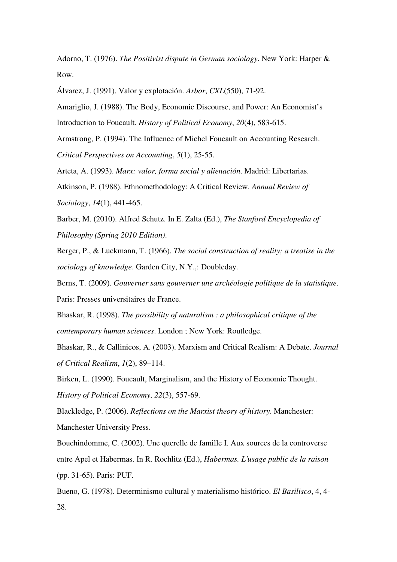Adorno, T. (1976). *The Positivist dispute in German sociology*. New York: Harper & Row.

Álvarez, J. (1991). Valor y explotación. *Arbor*, *CXL*(550), 71-92.

Amariglio, J. (1988). The Body, Economic Discourse, and Power: An Economist's Introduction to Foucault. *History of Political Economy*, *20*(4), 583-615.

Armstrong, P. (1994). The Influence of Michel Foucault on Accounting Research. *Critical Perspectives on Accounting*, *5*(1), 25-55.

Arteta, A. (1993). *Marx: valor, forma social y alienación*. Madrid: Libertarias.

Atkinson, P. (1988). Ethnomethodology: A Critical Review. *Annual Review of Sociology*, *14*(1), 441-465.

Barber, M. (2010). Alfred Schutz. In E. Zalta (Ed.), *The Stanford Encyclopedia of Philosophy (Spring 2010 Edition)*.

Berger, P., & Luckmann, T. (1966). *The social construction of reality; a treatise in the sociology of knowledge*. Garden City, N.Y.,: Doubleday.

Berns, T. (2009). *Gouverner sans gouverner une archéologie politique de la statistique*. Paris: Presses universitaires de France.

Bhaskar, R. (1998). *The possibility of naturalism : a philosophical critique of the contemporary human sciences*. London ; New York: Routledge.

Bhaskar, R., & Callinicos, A. (2003). Marxism and Critical Realism: A Debate. *Journal of Critical Realism*, *1*(2), 89–114.

Birken, L. (1990). Foucault, Marginalism, and the History of Economic Thought. *History of Political Economy*, *22*(3), 557-69.

Blackledge, P. (2006). *Reflections on the Marxist theory of history*. Manchester: Manchester University Press.

Bouchindomme, C. (2002). Une querelle de famille I. Aux sources de la controverse entre Apel et Habermas. In R. Rochlitz (Ed.), *Habermas. L'usage public de la raison* (pp. 31-65). Paris: PUF.

Bueno, G. (1978). Determinismo cultural y materialismo histórico. *El Basilisco*, 4, 4- 28.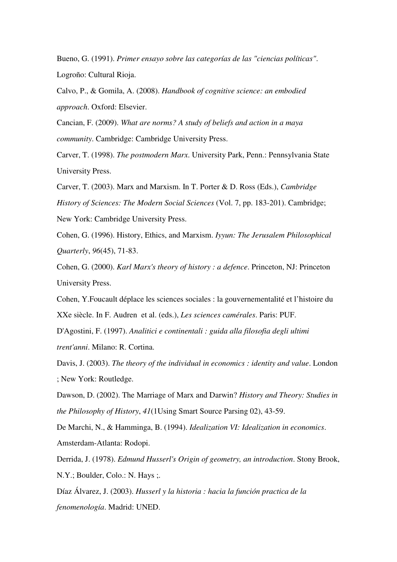Bueno, G. (1991). *Primer ensayo sobre las categorías de las "ciencias políticas"*. Logroño: Cultural Rioja.

Calvo, P., & Gomila, A. (2008). *Handbook of cognitive science: an embodied approach*. Oxford: Elsevier.

Cancian, F. (2009). *What are norms? A study of beliefs and action in a maya community*. Cambridge: Cambridge University Press.

Carver, T. (1998). *The postmodern Marx*. University Park, Penn.: Pennsylvania State University Press.

Carver, T. (2003). Marx and Marxism. In T. Porter & D. Ross (Eds.), *Cambridge* 

*History of Sciences: The Modern Social Sciences* (Vol. 7, pp. 183-201). Cambridge;

New York: Cambridge University Press.

Cohen, G. (1996). History, Ethics, and Marxism. *Iyyun: The Jerusalem Philosophical Quarterly*, *96*(45), 71-83.

Cohen, G. (2000). *Karl Marx's theory of history : a defence*. Princeton, NJ: Princeton University Press.

Cohen, Y.Foucault déplace les sciences sociales : la gouvernementalité et l'histoire du XXe siècle. In F. Audren et al. (eds.), *Les sciences camérales*. Paris: PUF.

D'Agostini, F. (1997). *Analitici e continentali : guida alla filosofia degli ultimi* 

*trent'anni*. Milano: R. Cortina.

Davis, J. (2003). *The theory of the individual in economics : identity and value*. London ; New York: Routledge.

Dawson, D. (2002). The Marriage of Marx and Darwin? *History and Theory: Studies in the Philosophy of History*, *41*(1Using Smart Source Parsing 02), 43-59.

De Marchi, N., & Hamminga, B. (1994). *Idealization VI: Idealization in economics*. Amsterdam-Atlanta: Rodopi.

Derrida, J. (1978). *Edmund Husserl's Origin of geometry, an introduction*. Stony Brook, N.Y.; Boulder, Colo.: N. Hays ;.

Díaz Álvarez, J. (2003). *Husserl y la historia : hacia la función practica de la fenomenología*. Madrid: UNED.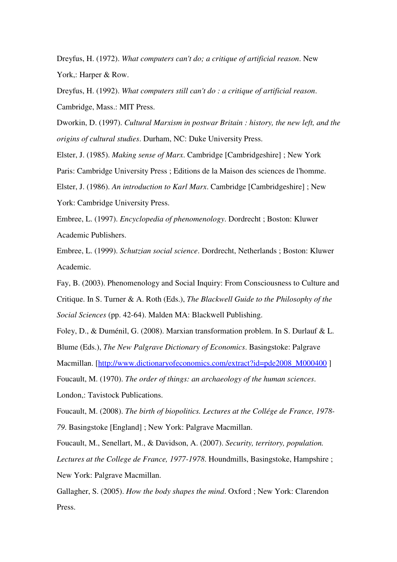Dreyfus, H. (1972). *What computers can't do; a critique of artificial reason*. New York,: Harper & Row.

Dreyfus, H. (1992). *What computers still can't do : a critique of artificial reason*. Cambridge, Mass.: MIT Press.

Dworkin, D. (1997). *Cultural Marxism in postwar Britain : history, the new left, and the origins of cultural studies*. Durham, NC: Duke University Press.

Elster, J. (1985). *Making sense of Marx*. Cambridge [Cambridgeshire] ; New York

Paris: Cambridge University Press ; Editions de la Maison des sciences de l'homme.

Elster, J. (1986). *An introduction to Karl Marx*. Cambridge [Cambridgeshire] ; New York: Cambridge University Press.

Embree, L. (1997). *Encyclopedia of phenomenology*. Dordrecht ; Boston: Kluwer Academic Publishers.

Embree, L. (1999). *Schutzian social science*. Dordrecht, Netherlands ; Boston: Kluwer Academic.

Fay, B. (2003). Phenomenology and Social Inquiry: From Consciousness to Culture and Critique. In S. Turner & A. Roth (Eds.), *The Blackwell Guide to the Philosophy of the Social Sciences* (pp. 42-64). Malden MA: Blackwell Publishing.

Foley, D., & Duménil, G. (2008). Marxian transformation problem. In S. Durlauf & L. Blume (Eds.), *The New Palgrave Dictionary of Economics*. Basingstoke: Palgrave

Macmillan. [http://www.dictionaryofeconomics.com/extract?id=pde2008\_M000400 ]

Foucault, M. (1970). *The order of things: an archaeology of the human sciences*.

London,: Tavistock Publications.

Foucault, M. (2008). *The birth of biopolitics. Lectures at the Collége de France, 1978- 79*. Basingstoke [England] ; New York: Palgrave Macmillan.

Foucault, M., Senellart, M., & Davidson, A. (2007). *Security, territory, population. Lectures at the College de France, 1977-1978*. Houndmills, Basingstoke, Hampshire ; New York: Palgrave Macmillan.

Gallagher, S. (2005). *How the body shapes the mind*. Oxford ; New York: Clarendon Press.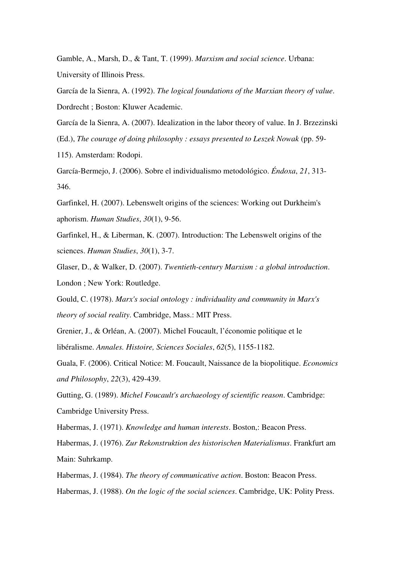Gamble, A., Marsh, D., & Tant, T. (1999). *Marxism and social science*. Urbana: University of Illinois Press.

García de la Sienra, A. (1992). *The logical foundations of the Marxian theory of value*. Dordrecht ; Boston: Kluwer Academic.

García de la Sienra, A. (2007). Idealization in the labor theory of value. In J. Brzezinski (Ed.), *The courage of doing philosophy : essays presented to Leszek Nowak* (pp. 59- 115). Amsterdam: Rodopi.

García-Bermejo, J. (2006). Sobre el individualismo metodológico. *Éndoxa*, *21*, 313- 346.

Garfinkel, H. (2007). Lebenswelt origins of the sciences: Working out Durkheim's aphorism. *Human Studies*, *30*(1), 9-56.

Garfinkel, H., & Liberman, K. (2007). Introduction: The Lebenswelt origins of the sciences. *Human Studies*, *30*(1), 3-7.

Glaser, D., & Walker, D. (2007). *Twentieth-century Marxism : a global introduction*. London ; New York: Routledge.

Gould, C. (1978). *Marx's social ontology : individuality and community in Marx's theory of social reality*. Cambridge, Mass.: MIT Press.

Grenier, J., & Orléan, A. (2007). Michel Foucault, l'économie politique et le libéralisme. *Annales. Histoire, Sciences Sociales*, *62*(5), 1155-1182.

Guala, F. (2006). Critical Notice: M. Foucault, Naissance de la biopolitique. *Economics and Philosophy*, *22*(3), 429-439.

Gutting, G. (1989). *Michel Foucault's archaeology of scientific reason*. Cambridge: Cambridge University Press.

Habermas, J. (1971). *Knowledge and human interests*. Boston,: Beacon Press.

Habermas, J. (1976). *Zur Rekonstruktion des historischen Materialismus*. Frankfurt am Main: Suhrkamp.

Habermas, J. (1984). *The theory of communicative action*. Boston: Beacon Press.

Habermas, J. (1988). *On the logic of the social sciences*. Cambridge, UK: Polity Press.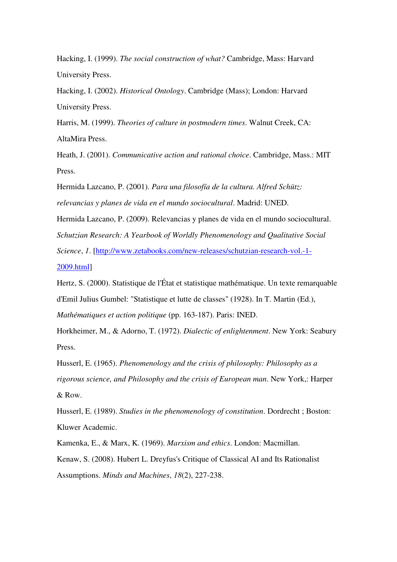Hacking, I. (1999). *The social construction of what?* Cambridge, Mass: Harvard University Press.

Hacking, I. (2002). *Historical Ontology*. Cambridge (Mass); London: Harvard University Press.

Harris, M. (1999). *Theories of culture in postmodern times*. Walnut Creek, CA: AltaMira Press.

Heath, J. (2001). *Communicative action and rational choice*. Cambridge, Mass.: MIT Press.

Hermida Lazcano, P. (2001). *Para una filosofía de la cultura. Alfred Schütz: relevancias y planes de vida en el mundo sociocultural*. Madrid: UNED.

Hermida Lazcano, P. (2009). Relevancias y planes de vida en el mundo sociocultural.

*Schutzian Research: A Yearbook of Worldly Phenomenology and Qualitative Social* 

*Science*, *1*. [http://www.zetabooks.com/new-releases/schutzian-research-vol.-1-

2009.html]

Hertz, S. (2000). Statistique de l'État et statistique mathématique. Un texte remarquable d'Emil Julius Gumbel: "Statistique et lutte de classes" (1928). In T. Martin (Ed.), *Mathématiques et action politique* (pp. 163-187). Paris: INED.

Horkheimer, M., & Adorno, T. (1972). *Dialectic of enlightenment*. New York: Seabury Press.

Husserl, E. (1965). *Phenomenology and the crisis of philosophy: Philosophy as a rigorous science, and Philosophy and the crisis of European man*. New York,: Harper & Row.

Husserl, E. (1989). *Studies in the phenomenology of constitution*. Dordrecht ; Boston: Kluwer Academic.

Kamenka, E., & Marx, K. (1969). *Marxism and ethics*. London: Macmillan. Kenaw, S. (2008). Hubert L. Dreyfus's Critique of Classical AI and Its Rationalist Assumptions. *Minds and Machines*, *18*(2), 227-238.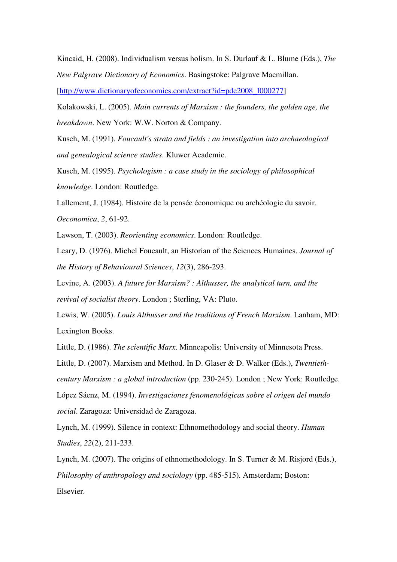Kincaid, H. (2008). Individualism versus holism. In S. Durlauf & L. Blume (Eds.), *The New Palgrave Dictionary of Economics*. Basingstoke: Palgrave Macmillan.

[http://www.dictionaryofeconomics.com/extract?id=pde2008\_I000277]

Kolakowski, L. (2005). *Main currents of Marxism : the founders, the golden age, the breakdown*. New York: W.W. Norton & Company.

Kusch, M. (1991). *Foucault's strata and fields : an investigation into archaeological and genealogical science studies*. Kluwer Academic.

Kusch, M. (1995). *Psychologism : a case study in the sociology of philosophical knowledge*. London: Routledge.

Lallement, J. (1984). Histoire de la pensée économique ou archéologie du savoir. *Oeconomica*, *2*, 61-92.

Lawson, T. (2003). *Reorienting economics*. London: Routledge.

Leary, D. (1976). Michel Foucault, an Historian of the Sciences Humaines. *Journal of the History of Behavioural Sciences*, *12*(3), 286-293.

Levine, A. (2003). *A future for Marxism? : Althusser, the analytical turn, and the revival of socialist theory*. London ; Sterling, VA: Pluto.

Lewis, W. (2005). *Louis Althusser and the traditions of French Marxism*. Lanham, MD: Lexington Books.

Little, D. (1986). *The scientific Marx*. Minneapolis: University of Minnesota Press. Little, D. (2007). Marxism and Method. In D. Glaser & D. Walker (Eds.), *Twentiethcentury Marxism : a global introduction* (pp. 230-245). London ; New York: Routledge. López Sáenz, M. (1994). *Investigaciones fenomenológicas sobre el origen del mundo social*. Zaragoza: Universidad de Zaragoza.

Lynch, M. (1999). Silence in context: Ethnomethodology and social theory. *Human Studies*, *22*(2), 211-233.

Lynch, M. (2007). The origins of ethnomethodology. In S. Turner & M. Risjord (Eds.), *Philosophy of anthropology and sociology* (pp. 485-515). Amsterdam; Boston: Elsevier.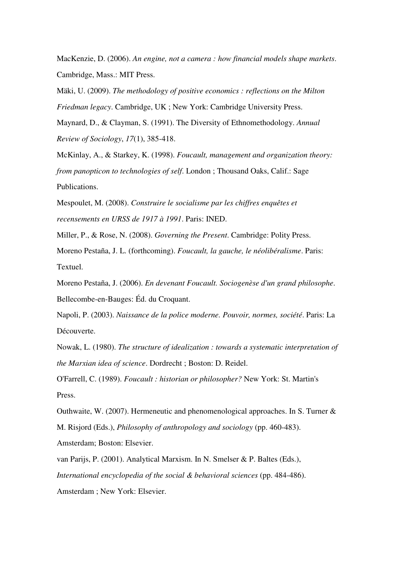MacKenzie, D. (2006). *An engine, not a camera : how financial models shape markets*. Cambridge, Mass.: MIT Press.

Mäki, U. (2009). *The methodology of positive economics : reflections on the Milton Friedman legacy*. Cambridge, UK ; New York: Cambridge University Press. Maynard, D., & Clayman, S. (1991). The Diversity of Ethnomethodology. *Annual Review of Sociology*, *17*(1), 385-418.

McKinlay, A., & Starkey, K. (1998). *Foucault, management and organization theory: from panopticon to technologies of self*. London ; Thousand Oaks, Calif.: Sage Publications.

Mespoulet, M. (2008). *Construire le socialisme par les chiffres enquêtes et recensements en URSS de 1917 à 1991*. Paris: INED.

Miller, P., & Rose, N. (2008). *Governing the Present*. Cambridge: Polity Press.

Moreno Pestaña, J. L. (forthcoming). *Foucault, la gauche, le néolibéralisme*. Paris: Textuel.

Moreno Pestaña, J. (2006). *En devenant Foucault. Sociogenèse d'un grand philosophe*. Bellecombe-en-Bauges: Éd. du Croquant.

Napoli, P. (2003). *Naissance de la police moderne. Pouvoir, normes, société*. Paris: La Découverte.

Nowak, L. (1980). *The structure of idealization : towards a systematic interpretation of the Marxian idea of science*. Dordrecht ; Boston: D. Reidel.

O'Farrell, C. (1989). *Foucault : historian or philosopher?* New York: St. Martin's Press.

Outhwaite, W. (2007). Hermeneutic and phenomenological approaches. In S. Turner &

M. Risjord (Eds.), *Philosophy of anthropology and sociology* (pp. 460-483).

Amsterdam; Boston: Elsevier.

van Parijs, P. (2001). Analytical Marxism. In N. Smelser & P. Baltes (Eds.),

*International encyclopedia of the social & behavioral sciences* (pp. 484-486).

Amsterdam ; New York: Elsevier.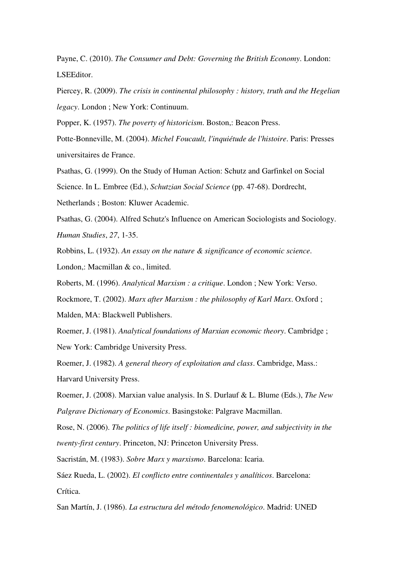Payne, C. (2010). *The Consumer and Debt: Governing the British Economy*. London: LSEEditor.

Piercey, R. (2009). *The crisis in continental philosophy : history, truth and the Hegelian legacy*. London ; New York: Continuum.

Popper, K. (1957). *The poverty of historicism*. Boston,: Beacon Press.

Potte-Bonneville, M. (2004). *Michel Foucault, l'inquiétude de l'histoire*. Paris: Presses universitaires de France.

Psathas, G. (1999). On the Study of Human Action: Schutz and Garfinkel on Social Science. In L. Embree (Ed.), *Schutzian Social Science* (pp. 47-68). Dordrecht, Netherlands ; Boston: Kluwer Academic.

Psathas, G. (2004). Alfred Schutz's Influence on American Sociologists and Sociology. *Human Studies*, *27*, 1-35.

Robbins, L. (1932). *An essay on the nature & significance of economic science*.

London,: Macmillan & co., limited.

Roberts, M. (1996). *Analytical Marxism : a critique*. London ; New York: Verso.

Rockmore, T. (2002). *Marx after Marxism : the philosophy of Karl Marx*. Oxford ;

Malden, MA: Blackwell Publishers.

Roemer, J. (1981). *Analytical foundations of Marxian economic theory*. Cambridge ;

New York: Cambridge University Press.

Roemer, J. (1982). *A general theory of exploitation and class*. Cambridge, Mass.: Harvard University Press.

Roemer, J. (2008). Marxian value analysis. In S. Durlauf & L. Blume (Eds.), *The New Palgrave Dictionary of Economics*. Basingstoke: Palgrave Macmillan.

Rose, N. (2006). *The politics of life itself : biomedicine, power, and subjectivity in the twenty-first century*. Princeton, NJ: Princeton University Press.

Sacristán, M. (1983). *Sobre Marx y marxismo*. Barcelona: Icaria.

Sáez Rueda, L. (2002). *El conflicto entre continentales y analíticos*. Barcelona: Crítica.

San Martín, J. (1986). *La estructura del método fenomenológico*. Madrid: UNED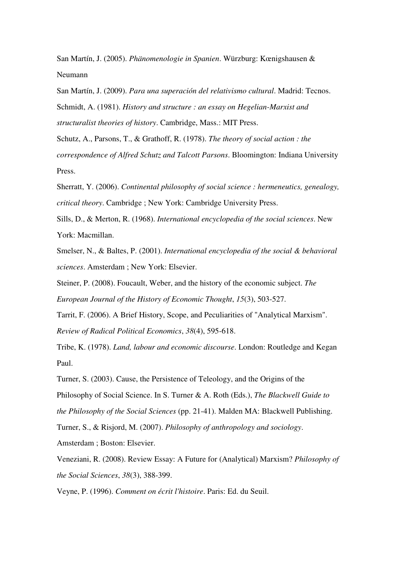San Martín, J. (2005). *Phänomenologie in Spanien*. Würzburg: Kœnigshausen & Neumann

San Martín, J. (2009). *Para una superación del relativismo cultural*. Madrid: Tecnos. Schmidt, A. (1981). *History and structure : an essay on Hegelian-Marxist and structuralist theories of history*. Cambridge, Mass.: MIT Press.

Schutz, A., Parsons, T., & Grathoff, R. (1978). *The theory of social action : the correspondence of Alfred Schutz and Talcott Parsons*. Bloomington: Indiana University Press.

Sherratt, Y. (2006). *Continental philosophy of social science : hermeneutics, genealogy, critical theory*. Cambridge ; New York: Cambridge University Press.

Sills, D., & Merton, R. (1968). *International encyclopedia of the social sciences*. New York: Macmillan.

Smelser, N., & Baltes, P. (2001). *International encyclopedia of the social & behavioral sciences*. Amsterdam ; New York: Elsevier.

Steiner, P. (2008). Foucault, Weber, and the history of the economic subject. *The European Journal of the History of Economic Thought*, *15*(3), 503-527.

Tarrit, F. (2006). A Brief History, Scope, and Peculiarities of "Analytical Marxism". *Review of Radical Political Economics*, *38*(4), 595-618.

Tribe, K. (1978). *Land, labour and economic discourse*. London: Routledge and Kegan Paul.

Turner, S. (2003). Cause, the Persistence of Teleology, and the Origins of the Philosophy of Social Science. In S. Turner & A. Roth (Eds.), *The Blackwell Guide to the Philosophy of the Social Sciences* (pp. 21-41). Malden MA: Blackwell Publishing. Turner, S., & Risjord, M. (2007). *Philosophy of anthropology and sociology*.

Amsterdam ; Boston: Elsevier.

Veneziani, R. (2008). Review Essay: A Future for (Analytical) Marxism? *Philosophy of the Social Sciences*, *38*(3), 388-399.

Veyne, P. (1996). *Comment on écrit l'histoire*. Paris: Ed. du Seuil.